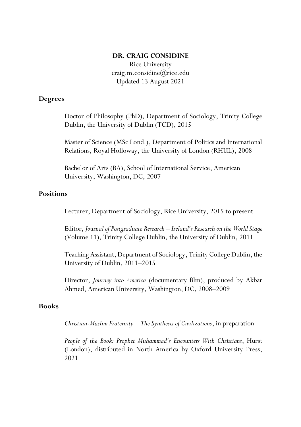#### **DR. CRAIG CONSIDINE**

Rice University [craig.m.considine@rice.edu](mailto:craig.m.considine@rice.edu) Updated 13 August 2021

### **Degrees**

Doctor of Philosophy (PhD), Department of Sociology, Trinity College Dublin, the University of Dublin (TCD), 2015

Master of Science (MSc Lond.), Department of Politics and International Relations, Royal Holloway, the University of London (RHUL), 2008

Bachelor of Arts (BA), School of International Service, American University, Washington, DC, 2007

#### **Positions**

Lecturer, Department of Sociology, Rice University, 2015 to present

Editor, *Journal of Postgraduate Research – Ireland's Research on the World Stage* (Volume 11), Trinity College Dublin, the University of Dublin, 2011

Teaching Assistant, Department of Sociology, Trinity College Dublin, the University of Dublin, 2011–2015

Director, *Journey into America* (documentary film), produced by Akbar Ahmed, American University, Washington, DC, 2008–2009

### **Books**

*Christian-Muslim Fraternity – The Synthesis of Civilizations*, in preparation

*People of the Book: Prophet Muhammad's Encounters With Christians*, Hurst (London), distributed in North America by Oxford University Press, 2021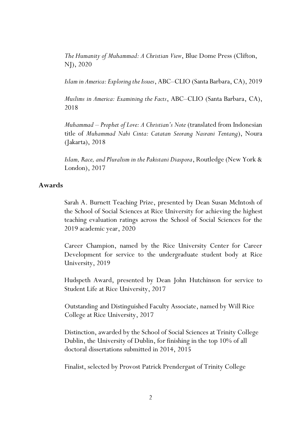*[The Humanity of Muhammad: A Christian View](https://www.amazon.com/gp/product/1682065294/ref=dbs_a_def_rwt_bibl_vppi_i3)*, Blue Dome Press (Clifton, NJ), 2020

*Islam in America: Exploring the Issues*, ABC–CLIO (Santa Barbara, CA), 2019

*[Muslims in America: Examining the Facts](https://books.google.com/books?id=1NliDwAAQBAJ&pg=PR4&lpg=PR4&dq=Craig+Considine+Muslims&source=bl&ots=oEWZFuYQf8&sig=ACfU3U09hA-gD8RjTTqNyVDOSFM62oSOkw&hl=en&sa=X&ved=2ahUKEwjHt9qLkePoAhVRWq0KHbL3CLs4UBDoATABegQIDBAn#v=onepage&q=Craig%20Considine%20Muslims&f=false)*, ABC–CLIO (Santa Barbara, CA), 2018

*Muhammad – Prophet of Love: A Christian's Note* (translated from Indonesian title of *Muhammad Nabi Cinta: Catatan Seorang Nasrani Tentang*), Noura (Jakarta), 2018

*Islam, Race, and Pluralism in the Pakistani Diaspora*, Routledge (New York & London), 2017

## **Awards**

Sarah A. Burnett Teaching Prize, presented by Dean Susan McIntosh of the School of Social Sciences at Rice University for achieving the highest teaching evaluation ratings across the School of Social Sciences for the 2019 academic year, 2020

Career Champion, named by the Rice University Center for Career Development for service to the undergraduate student body at Rice University, 2019

Hudspeth Award, presented by Dean John Hutchinson for service to Student Life at Rice University, 2017

Outstanding and Distinguished Faculty Associate, named by Will Rice College at Rice University, 2017

Distinction, awarded by the School of Social Sciences at Trinity College Dublin, the University of Dublin, for finishing in the top 10% of all doctoral dissertations submitted in 2014, 2015

Finalist, selected by Provost Patrick Prendergast of Trinity College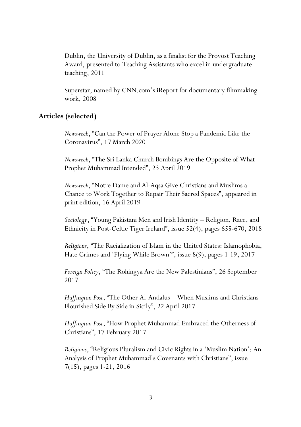Dublin, the University of Dublin, as a finalist for the Provost Teaching Award, presented to Teaching Assistants who excel in undergraduate teaching, 2011

Superstar, named by CNN.com's iReport for documentary filmmaking work, 2008

## **Articles (selected)**

*Newsweek*, "Can the Power of Prayer Alone Stop a Pandemic Like the Coronavirus", 17 March 2020

*Newsweek*, "The Sri Lanka Church Bombings Are the Opposite of What Prophet Muhammad Intended", 23 April 2019

*Newsweek*, "Notre Dame and Al-Aqsa Give Christians and Muslims a Chance to Work Together to Repair Their Sacred Spaces", appeared in print edition, 16 April 2019

*Sociology*, "Young Pakistani Men and Irish Identity – Religion, Race, and Ethnicity in Post-Celtic Tiger Ireland", issue 52(4), pages 655-670, 2018

*Religions*, "The Racialization of Islam in the United States: Islamophobia, Hate Crimes and 'Flying While Brown'", issue 8(9), pages 1-19, 2017

*Foreign Policy*, "The Rohingya Are the New Palestinians", 26 September 2017

*Huffington Post*, "The Other Al-Andalus – When Muslims and Christians Flourished Side By Side in Sicily", 22 April 2017

*Huffington Post*, "How Prophet Muhammad Embraced the Otherness of Christians", 17 February 2017

*Religions*, "Religious Pluralism and Civic Rights in a 'Muslim Nation': An Analysis of Prophet Muhammad's Covenants with Christians", issue 7(15), pages 1-21, 2016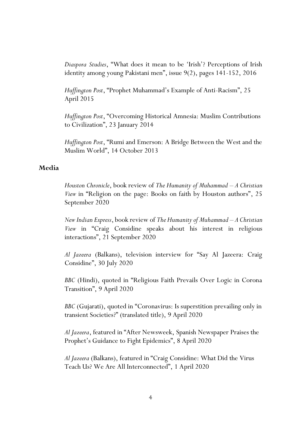*Diaspora Studies*, "What does it mean to be 'Irish'? Perceptions of Irish identity among young Pakistani men", issue 9(2), pages 141-152, 2016

*Huffington Post*, "Prophet Muhammad's Example of Anti-Racism", 25 April 2015

*Huffington Post*, "Overcoming Historical Amnesia: Muslim Contributions to Civilization", 23 January 2014

*Huffington Post*, "Rumi and Emerson: A Bridge Between the West and the Muslim World", 14 October 2013

### **Media**

*Houston Chronicle*, book review of *The Humanity of Muhammad – A Christian View* in "Religion on the page: Books on faith by Houston authors", 25 September 2020

*New Indian Express*, book review of *The Humanity of Muhammad – A Christian View* in "Craig Considine speaks about his interest in religious interactions", 21 September 2020

*Al Jazeera* (Balkans), television interview for "[Say Al Jazeera: Craig](http://balkans.aljazeera.net/video/recite-al-jazeeri-craig-considine)  [Considine](http://balkans.aljazeera.net/video/recite-al-jazeeri-craig-considine)", 30 July 2020

*BBC* (Hindi), quoted in "Religious Faith Prevails Over Logic in Corona Transition", 9 April 2020

*BBC* (Gujarati), quoted in "Coronavirus: Is superstition prevailing only in transient Societies?" (translated title), 9 April 2020

*Al Jazeera*, featured in "After Newsweek, Spanish Newspaper Praises the Prophet's Guidance to Fight Epidemics", 8 April 2020

*Al Jazeera* (Balkans), featured in "Craig Considine: What Did the Virus Teach Us? We Are All Interconnected", 1 April 2020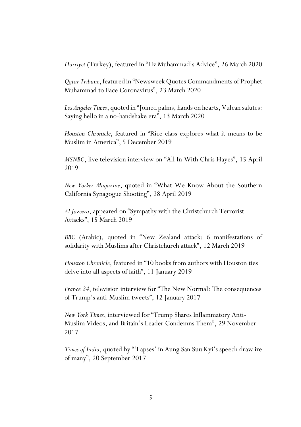*Hurriyet* (Turkey), featured in "Hz Muhammad's Advice", 26 March 2020

*Qatar Tribune*, featured in "Newsweek Quotes Commandments of Prophet Muhammad to Face Coronavirus", 23 March 2020

*Los Angeles Times*, quoted in "Joined palms, hands on hearts, Vulcan salutes: Saying hello in a no-handshake era", 13 March 2020

*Houston Chronicle*, featured in "Rice class explores what it means to be Muslim in America", 5 December 2019

*MSNBC*, live television interview on "All In With Chris Hayes", 15 April 2019

*New Yorker Magazine*, quoted in "What We Know About the Southern California Synagogue Shooting", 28 April 2019

*Al Jazeera*, appeared on "Sympathy with the Christchurch Terrorist Attacks", 15 March 2019

*BBC* (Arabic), quoted in "New Zealand attack: 6 manifestations of solidarity with Muslims after Christchurch attack", 12 March 2019

*Houston Chronicle*, featured in "10 books from authors with Houston ties delve into all aspects of faith", 11 January 2019

*France 24*, television interview for "The New Normal? The consequences of Trump's anti-Muslim tweets", 12 January 2017

*New York Times*, interviewed for "Trump Shares Inflammatory Anti-Muslim Videos, and Britain's Leader Condemns Them", 29 November 2017

*Times of India*, quoted by "'Lapses' in Aung San Suu Kyi's speech draw ire of many", 20 September 2017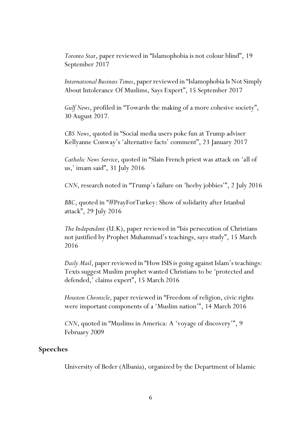*Toronto Star*, paper reviewed in "Islamophobia is not colour blind", 19 September 2017

*International Business Times*, paper reviewed in "Islamophobia Is Not Simply About Intolerance Of Muslims, Says Expert", 15 September 2017

*Gulf News*, profiled in "Towards the making of a more cohesive society", 30 August 2017.

*CBS News*, quoted in "Social media users poke fun at Trump adviser Kellyanne Conway's 'alternative facts' comment", 23 January 2017

*Catholic News Service*, quoted in "Slain French priest was attack on 'all of us,' imam said", 31 July 2016

*CNN*, research noted in "Trump's failure on 'heeby jobbies'", 2 July 2016

*BBC*, quoted in "#PrayForTurkey: Show of solidarity after Istanbul attack", 29 July 2016

*The Independent* (U.K), paper reviewed in "Isis persecution of Christians not justified by Prophet Muhammad's teachings, says study", 15 March 2016

*Daily Mail*, paper reviewed in "How ISIS is going against Islam's teachings: Texts suggest Muslim prophet wanted Christians to be 'protected and defended,' claims expert", 15 March 2016

*Houston Chronicle*, paper reviewed in "Freedom of religion, civic rights were important components of a 'Muslim nation'", 14 March 2016

*CNN*, quoted in "Muslims in America: A 'voyage of discovery'", 9 February 2009

## **Speeches**

University of Beder (Albania), organized by the Department of Islamic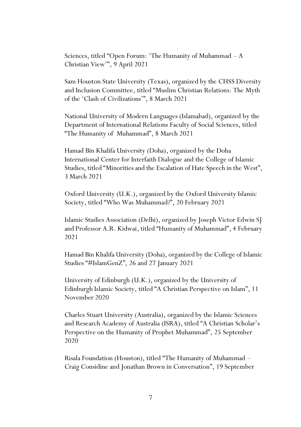Sciences, titled "Open Forum: 'The Humanity of Muhammad – A Christian View'", 9 April 2021

Sam Houston State University (Texas), organized by the CHSS Diversity and Inclusion Committee, titled "Muslim Christian Relations: The Myth of the 'Clash of Civilizations'", 8 March 2021

National University of Modern Languages (Islamabad), organized by the Department of International Relations Faculty of Social Sciences, titled "The Humanity of Muhammad", 8 March 2021

Hamad Bin Khalifa University (Doha), organized by the Doha International Center for Interfaith Dialogue and the College of Islamic Studies, titled "Minorities and the Escalation of Hate Speech in the West", 3 March 2021

Oxford University (U.K.), organized by the Oxford University Islamic Society, titled "Who Was Muhammad?", 20 February 2021

Islamic Studies Association (Delhi), organized by Joseph Victor Edwin SJ and Professor A.R. Kidwai, titled "Humanity of Muhammad", 4 February 2021

Hamad Bin Khalifa University (Doha), organized by the College of Islamic Studies "#IslamGenZ", 26 and 27 January 2021

University of Edinburgh (U.K.), organized by the University of Edinburgh Islamic Society, titled "A Christian Perspective on Islam", 11 November 2020

Charles Stuart University (Australia), organized by the Islamic Sciences and Research Academy of Australia (ISRA), titled "A Christian Scholar's Perspective on the Humanity of Prophet Muhammad", 25 September 2020

Risala Foundation (Houston), titled "The Humanity of Muhammad – Craig Considine and Jonathan Brown in Conversation", 19 September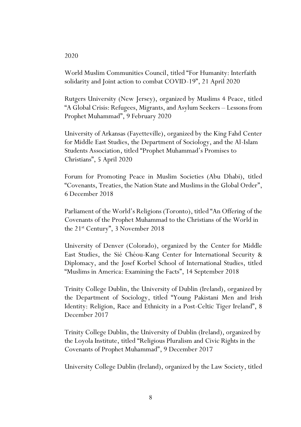#### 2020

World Muslim Communities Council, titled "For Humanity: Interfaith solidarity and Joint action to combat COVID-19", 21 April 2020

Rutgers University (New Jersey), organized by Muslims 4 Peace, titled "A Global Crisis: Refugees, Migrants, and Asylum Seekers – Lessons from Prophet Muhammad", 9 February 2020

University of Arkansas (Fayetteville), organized by the King Fahd Center for Middle East Studies, the Department of Sociology, and the Al-Islam Students Association, titled "Prophet Muhammad's Promises to Christians", 5 April 2020

Forum for Promoting Peace in Muslim Societies (Abu Dhabi), titled "Covenants, Treaties, the Nation State and Muslims in the Global Order", 6 December 2018

Parliament of the World's Religions (Toronto), titled "An Offering of the Covenants of the Prophet Muhammad to the Christians of the World in the 21st Century", 3 November 2018

University of Denver (Colorado), organized by the Center for Middle East Studies, the Sié Chéou-Kang Center for International Security & Diplomacy, and the Josef Korbel School of International Studies, titled "Muslims in America: Examining the Facts", 14 September 2018

Trinity College Dublin, the University of Dublin (Ireland), organized by the Department of Sociology, titled "Young Pakistani Men and Irish Identity: Religion, Race and Ethnicity in a Post-Celtic Tiger Ireland", 8 December 2017

Trinity College Dublin, the University of Dublin (Ireland), organized by the Loyola Institute, titled "Religious Pluralism and Civic Rights in the Covenants of Prophet Muhammad", 9 December 2017

University College Dublin (Ireland), organized by the Law Society, titled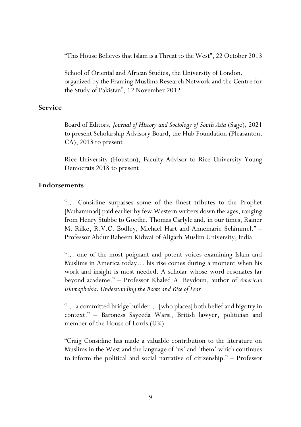"This House Believes that Islam is a Threat to the West", 22 October 2013

School of Oriental and African Studies, the University of London, organized by the Framing Muslims Research Network and the Centre for the Study of Pakistan", 12 November 2012

# **Service**

Board of Editors, *Journal of History and Sociology of South Asia* (Sage), 2021 to present Scholarship Advisory Board, the Hub Foundation (Pleasanton, CA), 2018 to present

Rice University (Houston), Faculty Advisor to Rice University Young Democrats 2018 to present

### **Endorsements**

"… Considine surpasses some of the finest tributes to the Prophet [Muhammad] paid earlier by few Western writers down the ages, ranging from Henry Stubbe to Goethe, Thomas Carlyle and, in our times, Rainer M. Rilke, R.V.C. Bodley, Michael Hart and Annemarie Schimmel." – Professor Abdur Raheem Kidwai of Aligarh Muslim University, India

"… one of the most poignant and potent voices examining Islam and Muslims in America today… his rise comes during a moment when his work and insight is most needed. A scholar whose word resonates far beyond academe." – Professor Khaled A. Beydoun, author of *American Islamophobia: Understanding the Roots and Rise of Fear*

"… a committed bridge builder… [who places] both belief and bigotry in context." – Baroness Sayeeda Warsi, British lawyer, politician and member of the House of Lords (UK)

"Craig Considine has made a valuable contribution to the literature on Muslims in the West and the language of 'us' and 'them' which continues to inform the political and social narrative of citizenship." – Professor